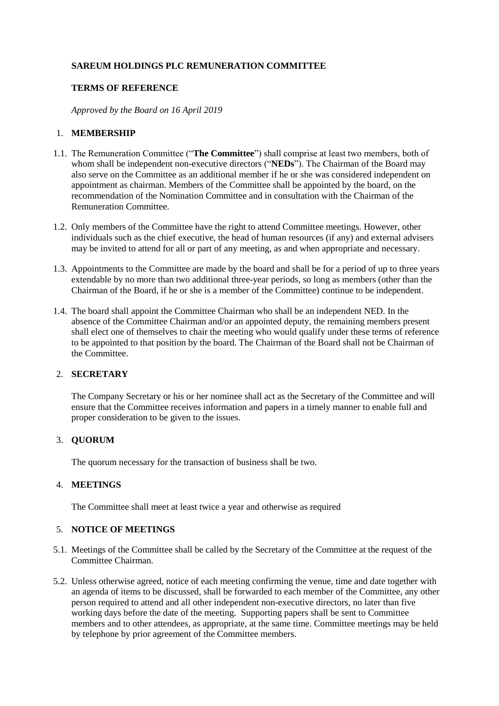# **SAREUM HOLDINGS PLC REMUNERATION COMMITTEE**

# **TERMS OF REFERENCE**

*Approved by the Board on 16 April 2019*

## 1. **MEMBERSHIP**

- 1.1. The Remuneration Committee ("**The Committee**") shall comprise at least two members, both of whom shall be independent non-executive directors ("**NEDs**"). The Chairman of the Board may also serve on the Committee as an additional member if he or she was considered independent on appointment as chairman. Members of the Committee shall be appointed by the board, on the recommendation of the Nomination Committee and in consultation with the Chairman of the Remuneration Committee.
- 1.2. Only members of the Committee have the right to attend Committee meetings. However, other individuals such as the chief executive, the head of human resources (if any) and external advisers may be invited to attend for all or part of any meeting, as and when appropriate and necessary.
- 1.3. Appointments to the Committee are made by the board and shall be for a period of up to three years extendable by no more than two additional three-year periods, so long as members (other than the Chairman of the Board, if he or she is a member of the Committee) continue to be independent.
- 1.4. The board shall appoint the Committee Chairman who shall be an independent NED. In the absence of the Committee Chairman and/or an appointed deputy, the remaining members present shall elect one of themselves to chair the meeting who would qualify under these terms of reference to be appointed to that position by the board. The Chairman of the Board shall not be Chairman of the Committee.

# 2. **SECRETARY**

The Company Secretary or his or her nominee shall act as the Secretary of the Committee and will ensure that the Committee receives information and papers in a timely manner to enable full and proper consideration to be given to the issues.

#### 3. **QUORUM**

The quorum necessary for the transaction of business shall be two.

## 4. **MEETINGS**

The Committee shall meet at least twice a year and otherwise as required

# 5. **NOTICE OF MEETINGS**

- 5.1. Meetings of the Committee shall be called by the Secretary of the Committee at the request of the Committee Chairman.
- 5.2. Unless otherwise agreed, notice of each meeting confirming the venue, time and date together with an agenda of items to be discussed, shall be forwarded to each member of the Committee, any other person required to attend and all other independent non-executive directors, no later than five working days before the date of the meeting. Supporting papers shall be sent to Committee members and to other attendees, as appropriate, at the same time. Committee meetings may be held by telephone by prior agreement of the Committee members.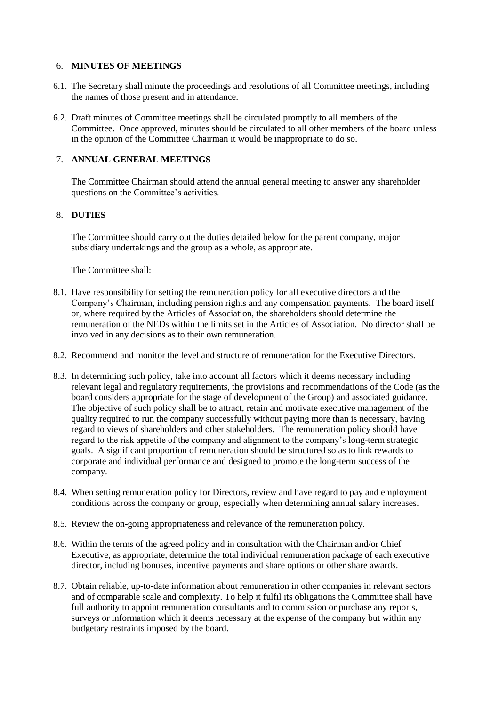## 6. **MINUTES OF MEETINGS**

- 6.1. The Secretary shall minute the proceedings and resolutions of all Committee meetings, including the names of those present and in attendance.
- 6.2. Draft minutes of Committee meetings shall be circulated promptly to all members of the Committee. Once approved, minutes should be circulated to all other members of the board unless in the opinion of the Committee Chairman it would be inappropriate to do so.

# 7. **ANNUAL GENERAL MEETINGS**

The Committee Chairman should attend the annual general meeting to answer any shareholder questions on the Committee's activities.

# 8. **DUTIES**

The Committee should carry out the duties detailed below for the parent company, major subsidiary undertakings and the group as a whole, as appropriate.

The Committee shall:

- 8.1. Have responsibility for setting the remuneration policy for all executive directors and the Company's Chairman, including pension rights and any compensation payments. The board itself or, where required by the Articles of Association, the shareholders should determine the remuneration of the NEDs within the limits set in the Articles of Association. No director shall be involved in any decisions as to their own remuneration.
- 8.2. Recommend and monitor the level and structure of remuneration for the Executive Directors.
- 8.3. In determining such policy, take into account all factors which it deems necessary including relevant legal and regulatory requirements, the provisions and recommendations of the Code (as the board considers appropriate for the stage of development of the Group) and associated guidance. The objective of such policy shall be to attract, retain and motivate executive management of the quality required to run the company successfully without paying more than is necessary, having regard to views of shareholders and other stakeholders. The remuneration policy should have regard to the risk appetite of the company and alignment to the company's long-term strategic goals. A significant proportion of remuneration should be structured so as to link rewards to corporate and individual performance and designed to promote the long-term success of the company.
- 8.4. When setting remuneration policy for Directors, review and have regard to pay and employment conditions across the company or group, especially when determining annual salary increases.
- 8.5. Review the on-going appropriateness and relevance of the remuneration policy.
- 8.6. Within the terms of the agreed policy and in consultation with the Chairman and/or Chief Executive, as appropriate, determine the total individual remuneration package of each executive director, including bonuses, incentive payments and share options or other share awards.
- 8.7. Obtain reliable, up-to-date information about remuneration in other companies in relevant sectors and of comparable scale and complexity. To help it fulfil its obligations the Committee shall have full authority to appoint remuneration consultants and to commission or purchase any reports, surveys or information which it deems necessary at the expense of the company but within any budgetary restraints imposed by the board.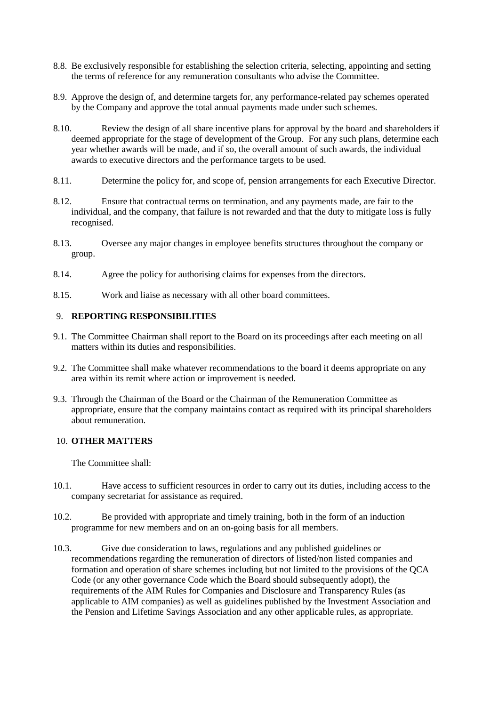- 8.8. Be exclusively responsible for establishing the selection criteria, selecting, appointing and setting the terms of reference for any remuneration consultants who advise the Committee.
- 8.9. Approve the design of, and determine targets for, any performance-related pay schemes operated by the Company and approve the total annual payments made under such schemes.
- 8.10. Review the design of all share incentive plans for approval by the board and shareholders if deemed appropriate for the stage of development of the Group. For any such plans, determine each year whether awards will be made, and if so, the overall amount of such awards, the individual awards to executive directors and the performance targets to be used.
- 8.11. Determine the policy for, and scope of, pension arrangements for each Executive Director.
- 8.12. Ensure that contractual terms on termination, and any payments made, are fair to the individual, and the company, that failure is not rewarded and that the duty to mitigate loss is fully recognised.
- 8.13. Oversee any major changes in employee benefits structures throughout the company or group.
- 8.14. Agree the policy for authorising claims for expenses from the directors.
- 8.15. Work and liaise as necessary with all other board committees.

## 9. **REPORTING RESPONSIBILITIES**

- 9.1. The Committee Chairman shall report to the Board on its proceedings after each meeting on all matters within its duties and responsibilities.
- 9.2. The Committee shall make whatever recommendations to the board it deems appropriate on any area within its remit where action or improvement is needed.
- 9.3. Through the Chairman of the Board or the Chairman of the Remuneration Committee as appropriate, ensure that the company maintains contact as required with its principal shareholders about remuneration.

### 10. **OTHER MATTERS**

The Committee shall:

- 10.1. Have access to sufficient resources in order to carry out its duties, including access to the company secretariat for assistance as required.
- 10.2. Be provided with appropriate and timely training, both in the form of an induction programme for new members and on an on-going basis for all members.
- 10.3. Give due consideration to laws, regulations and any published guidelines or recommendations regarding the remuneration of directors of listed/non listed companies and formation and operation of share schemes including but not limited to the provisions of the QCA Code (or any other governance Code which the Board should subsequently adopt), the requirements of the AIM Rules for Companies and Disclosure and Transparency Rules (as applicable to AIM companies) as well as guidelines published by the Investment Association and the Pension and Lifetime Savings Association and any other applicable rules, as appropriate.